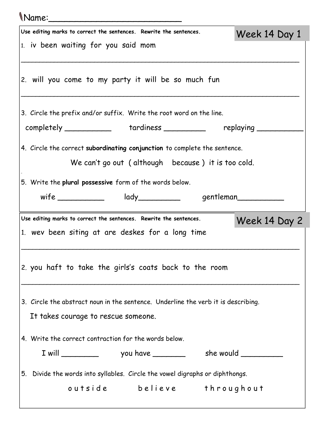| <i>Name</i> :                                                                                                                   |               |  |  |  |
|---------------------------------------------------------------------------------------------------------------------------------|---------------|--|--|--|
| Use editing marks to correct the sentences. Rewrite the sentences.                                                              | Week 14 Day 1 |  |  |  |
| 1. iv been waiting for you said mom                                                                                             |               |  |  |  |
| 2. will you come to my party it will be so much fun                                                                             |               |  |  |  |
| 3. Circle the prefix and/or suffix. Write the root word on the line.                                                            |               |  |  |  |
| completely ______________ tardiness __________ replaying _____                                                                  |               |  |  |  |
| 4. Circle the correct subordinating conjunction to complete the sentence.<br>We can't go out (although because) it is too cold. |               |  |  |  |
|                                                                                                                                 |               |  |  |  |
| 5. Write the plural possessive form of the words below.                                                                         |               |  |  |  |
| wife _____________ lady__________ gentleman___________                                                                          |               |  |  |  |
| Use editing marks to correct the sentences. Rewrite the sentences.                                                              | Week 14 Day 2 |  |  |  |
| 1. wev been siting at are deskes for a long time                                                                                |               |  |  |  |
|                                                                                                                                 |               |  |  |  |
| 2. you haft to take the girls's coats back to the room                                                                          |               |  |  |  |
| 3. Circle the abstract noun in the sentence. Underline the verb it is describing.                                               |               |  |  |  |
| It takes courage to rescue someone.                                                                                             |               |  |  |  |
| 4. Write the correct contraction for the words below.                                                                           |               |  |  |  |
|                                                                                                                                 |               |  |  |  |
| 5. Divide the words into syllables. Circle the vowel digraphs or diphthongs.                                                    |               |  |  |  |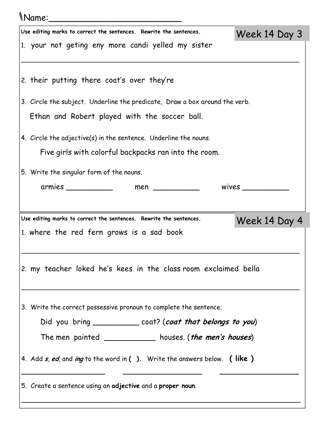## Name:\_\_\_\_\_\_\_\_\_\_\_\_\_\_\_\_\_\_\_\_\_\_\_\_\_

| Use editing marks to correct the sentences. Rewrite the sentences.<br>Week 14 Day 3     |
|-----------------------------------------------------------------------------------------|
| 1. your not geting eny more candi yelled my sister                                      |
| 2. their putting there coat's over they're                                              |
| 3. Circle the subject. Underline the predicate, Draw a box around the verb.             |
| Ethan and Robert played with the soccer ball.                                           |
| 4. Circle the adjective(s) in the sentence. Underline the nouns.                        |
| Five girls with colorful backpacks ran into the room.                                   |
| 5. Write the singular form of the nouns.                                                |
| armies ____________<br>wives $\_\_$<br>$men$ ___________                                |
|                                                                                         |
| Use editing marks to correct the sentences. Rewrite the sentences.<br>Week 14 Day 4     |
|                                                                                         |
| 1. where the red fern grows is a sad book                                               |
|                                                                                         |
| 2. my teacher loked he's kees in the class room exclaimed bella                         |
|                                                                                         |
| 3. Write the correct possessive pronoun to complete the sentence.                       |
| Did you bring ______________ coat? (coat that belongs to you)                           |
| The men painted ___________ houses. (the men's houses)                                  |
| 4. Add <i>s, ed,</i> and <i>ing</i> to the word in ( ). Write the answers below. (like) |
| 5. Create a sentence using an adjective and a proper noun.                              |